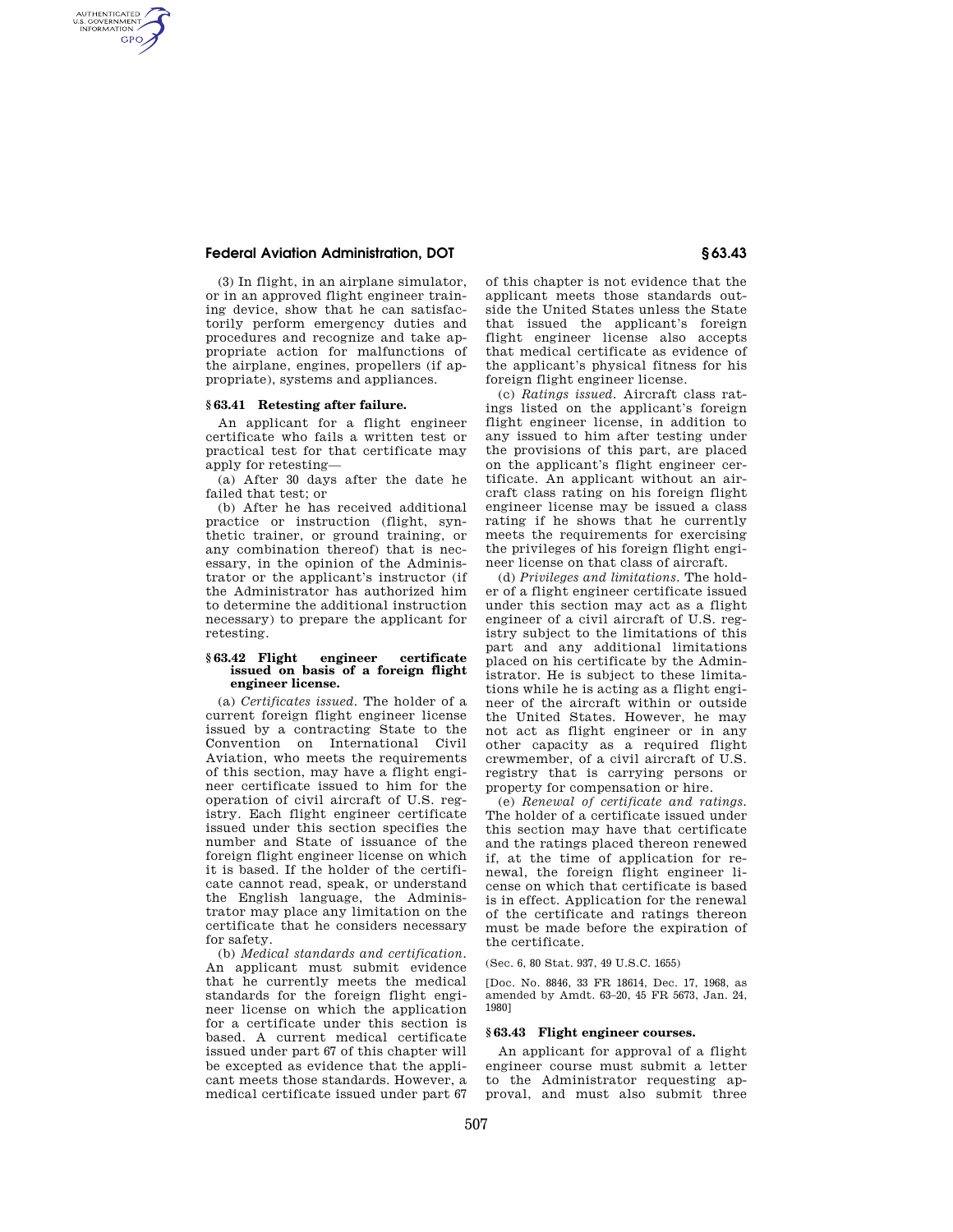# **Federal Aviation Administration, DOT § 63.43**

AUTHENTICATED<br>U.S. GOVERNMENT<br>INFORMATION **GPO** 

> (3) In flight, in an airplane simulator, or in an approved flight engineer training device, show that he can satisfactorily perform emergency duties and procedures and recognize and take appropriate action for malfunctions of the airplane, engines, propellers (if appropriate), systems and appliances.

### **§ 63.41 Retesting after failure.**

An applicant for a flight engineer certificate who fails a written test or practical test for that certificate may apply for retesting—

(a) After 30 days after the date he failed that test; or

(b) After he has received additional practice or instruction (flight, synthetic trainer, or ground training, or any combination thereof) that is necessary, in the opinion of the Administrator or the applicant's instructor (if the Administrator has authorized him to determine the additional instruction necessary) to prepare the applicant for retesting.

#### **§ 63.42 Flight engineer certificate issued on basis of a foreign flight engineer license.**

(a) *Certificates issued.* The holder of a current foreign flight engineer license issued by a contracting State to the Convention on International Civil Aviation, who meets the requirements of this section, may have a flight engineer certificate issued to him for the operation of civil aircraft of U.S. registry. Each flight engineer certificate issued under this section specifies the number and State of issuance of the foreign flight engineer license on which it is based. If the holder of the certificate cannot read, speak, or understand the English language, the Administrator may place any limitation on the certificate that he considers necessary for safety.

(b) *Medical standards and certification.*  An applicant must submit evidence that he currently meets the medical standards for the foreign flight engineer license on which the application for a certificate under this section is based. A current medical certificate issued under part 67 of this chapter will be excepted as evidence that the applicant meets those standards. However, a medical certificate issued under part 67

of this chapter is not evidence that the applicant meets those standards outside the United States unless the State that issued the applicant's foreign flight engineer license also accepts that medical certificate as evidence of the applicant's physical fitness for his foreign flight engineer license.

(c) *Ratings issued.* Aircraft class ratings listed on the applicant's foreign flight engineer license, in addition to any issued to him after testing under the provisions of this part, are placed on the applicant's flight engineer certificate. An applicant without an aircraft class rating on his foreign flight engineer license may be issued a class rating if he shows that he currently meets the requirements for exercising the privileges of his foreign flight engineer license on that class of aircraft.

(d) *Privileges and limitations.* The holder of a flight engineer certificate issued under this section may act as a flight engineer of a civil aircraft of U.S. registry subject to the limitations of this part and any additional limitations placed on his certificate by the Administrator. He is subject to these limitations while he is acting as a flight engineer of the aircraft within or outside the United States. However, he may not act as flight engineer or in any other capacity as a required flight crewmember, of a civil aircraft of U.S. registry that is carrying persons or property for compensation or hire.

(e) *Renewal of certificate and ratings.*  The holder of a certificate issued under this section may have that certificate and the ratings placed thereon renewed if, at the time of application for renewal, the foreign flight engineer license on which that certificate is based is in effect. Application for the renewal of the certificate and ratings thereon must be made before the expiration of the certificate.

(Sec. 6, 80 Stat. 937, 49 U.S.C. 1655)

[Doc. No. 8846, 33 FR 18614, Dec. 17, 1968, as amended by Amdt. 63–20, 45 FR 5673, Jan. 24, 1980]

## **§ 63.43 Flight engineer courses.**

An applicant for approval of a flight engineer course must submit a letter to the Administrator requesting approval, and must also submit three